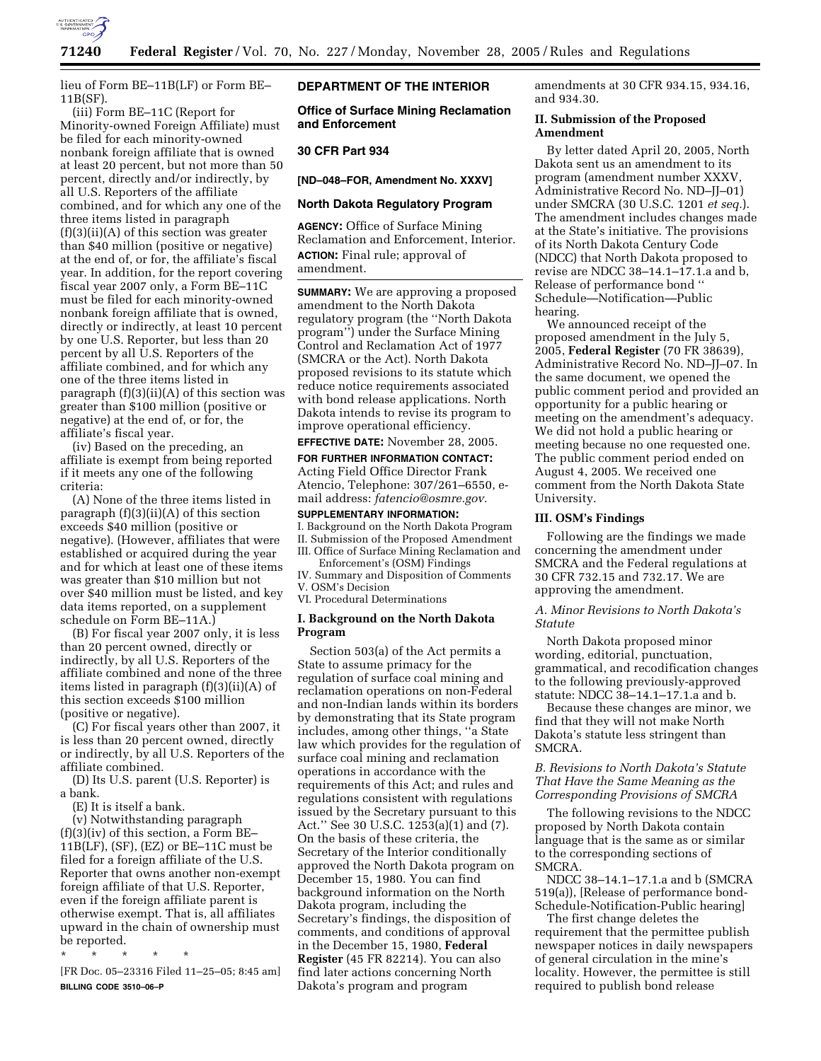

lieu of Form BE–11B(LF) or Form BE– 11B(SF).

(iii) Form BE–11C (Report for Minority-owned Foreign Affiliate) must be filed for each minority-owned nonbank foreign affiliate that is owned at least 20 percent, but not more than 50 percent, directly and/or indirectly, by all U.S. Reporters of the affiliate combined, and for which any one of the three items listed in paragraph  $(f)(3)(ii)(A)$  of this section was greater than \$40 million (positive or negative) at the end of, or for, the affiliate's fiscal year. In addition, for the report covering fiscal year 2007 only, a Form BE–11C must be filed for each minority-owned nonbank foreign affiliate that is owned, directly or indirectly, at least 10 percent by one U.S. Reporter, but less than 20 percent by all U.S. Reporters of the affiliate combined, and for which any one of the three items listed in paragraph (f)(3)(ii)(A) of this section was greater than \$100 million (positive or negative) at the end of, or for, the affiliate's fiscal year.

(iv) Based on the preceding, an affiliate is exempt from being reported if it meets any one of the following criteria:

(A) None of the three items listed in paragraph  $(f)(3)(ii)(A)$  of this section exceeds \$40 million (positive or negative). (However, affiliates that were established or acquired during the year and for which at least one of these items was greater than \$10 million but not over \$40 million must be listed, and key data items reported, on a supplement schedule on Form BE–11A.)

(B) For fiscal year 2007 only, it is less than 20 percent owned, directly or indirectly, by all U.S. Reporters of the affiliate combined and none of the three items listed in paragraph (f)(3)(ii)(A) of this section exceeds \$100 million (positive or negative).

(C) For fiscal years other than 2007, it is less than 20 percent owned, directly or indirectly, by all U.S. Reporters of the affiliate combined.

(D) Its U.S. parent (U.S. Reporter) is a bank.

(E) It is itself a bank.

(v) Notwithstanding paragraph (f)(3)(iv) of this section, a Form BE– 11B(LF), (SF), (EZ) or BE–11C must be filed for a foreign affiliate of the U.S. Reporter that owns another non-exempt foreign affiliate of that U.S. Reporter, even if the foreign affiliate parent is otherwise exempt. That is, all affiliates upward in the chain of ownership must be reported.

\* \* \* \* \* [FR Doc. 05–23316 Filed 11–25–05; 8:45 am] **BILLING CODE 3510–06–P** 

# **DEPARTMENT OF THE INTERIOR**

**Office of Surface Mining Reclamation and Enforcement** 

# **30 CFR Part 934**

**[ND–048–FOR, Amendment No. XXXV]** 

# **North Dakota Regulatory Program**

**AGENCY:** Office of Surface Mining Reclamation and Enforcement, Interior. **ACTION:** Final rule; approval of amendment.

**SUMMARY:** We are approving a proposed amendment to the North Dakota regulatory program (the ''North Dakota program'') under the Surface Mining Control and Reclamation Act of 1977 (SMCRA or the Act). North Dakota proposed revisions to its statute which reduce notice requirements associated with bond release applications. North Dakota intends to revise its program to improve operational efficiency.

# **EFFECTIVE DATE:** November 28, 2005.

**FOR FURTHER INFORMATION CONTACT:**  Acting Field Office Director Frank Atencio, Telephone: 307/261–6550, email address: *fatencio@osmre.gov.* 

**SUPPLEMENTARY INFORMATION:**  I. Background on the North Dakota Program II. Submission of the Proposed Amendment III. Office of Surface Mining Reclamation and Enforcement's (OSM) Findings

IV. Summary and Disposition of Comments V. OSM's Decision

VI. Procedural Determinations

### **I. Background on the North Dakota Program**

Section 503(a) of the Act permits a State to assume primacy for the regulation of surface coal mining and reclamation operations on non-Federal and non-Indian lands within its borders by demonstrating that its State program includes, among other things, ''a State law which provides for the regulation of surface coal mining and reclamation operations in accordance with the requirements of this Act; and rules and regulations consistent with regulations issued by the Secretary pursuant to this Act.'' See 30 U.S.C. 1253(a)(1) and (7). On the basis of these criteria, the Secretary of the Interior conditionally approved the North Dakota program on December 15, 1980. You can find background information on the North Dakota program, including the Secretary's findings, the disposition of comments, and conditions of approval in the December 15, 1980, **Federal Register** (45 FR 82214). You can also find later actions concerning North Dakota's program and program

amendments at 30 CFR 934.15, 934.16, and 934.30.

### **II. Submission of the Proposed Amendment**

By letter dated April 20, 2005, North Dakota sent us an amendment to its program (amendment number XXXV, Administrative Record No. ND–JJ–01) under SMCRA (30 U.S.C. 1201 *et seq.*). The amendment includes changes made at the State's initiative. The provisions of its North Dakota Century Code (NDCC) that North Dakota proposed to revise are NDCC 38–14.1–17.1.a and b, Release of performance bond '' Schedule—Notification—Public hearing.

We announced receipt of the proposed amendment in the July 5, 2005, **Federal Register** (70 FR 38639), Administrative Record No. ND–JJ–07. In the same document, we opened the public comment period and provided an opportunity for a public hearing or meeting on the amendment's adequacy. We did not hold a public hearing or meeting because no one requested one. The public comment period ended on August 4, 2005. We received one comment from the North Dakota State University.

#### **III. OSM's Findings**

Following are the findings we made concerning the amendment under SMCRA and the Federal regulations at 30 CFR 732.15 and 732.17. We are approving the amendment.

# *A. Minor Revisions to North Dakota's Statute*

North Dakota proposed minor wording, editorial, punctuation, grammatical, and recodification changes to the following previously-approved statute: NDCC 38–14.1–17.1.a and b.

Because these changes are minor, we find that they will not make North Dakota's statute less stringent than SMCRA.

# *B. Revisions to North Dakota's Statute That Have the Same Meaning as the Corresponding Provisions of SMCRA*

The following revisions to the NDCC proposed by North Dakota contain language that is the same as or similar to the corresponding sections of SMCRA.

NDCC 38–14.1–17.1.a and b (SMCRA 519(a)), [Release of performance bond-Schedule-Notification-Public hearing]

The first change deletes the requirement that the permittee publish newspaper notices in daily newspapers of general circulation in the mine's locality. However, the permittee is still required to publish bond release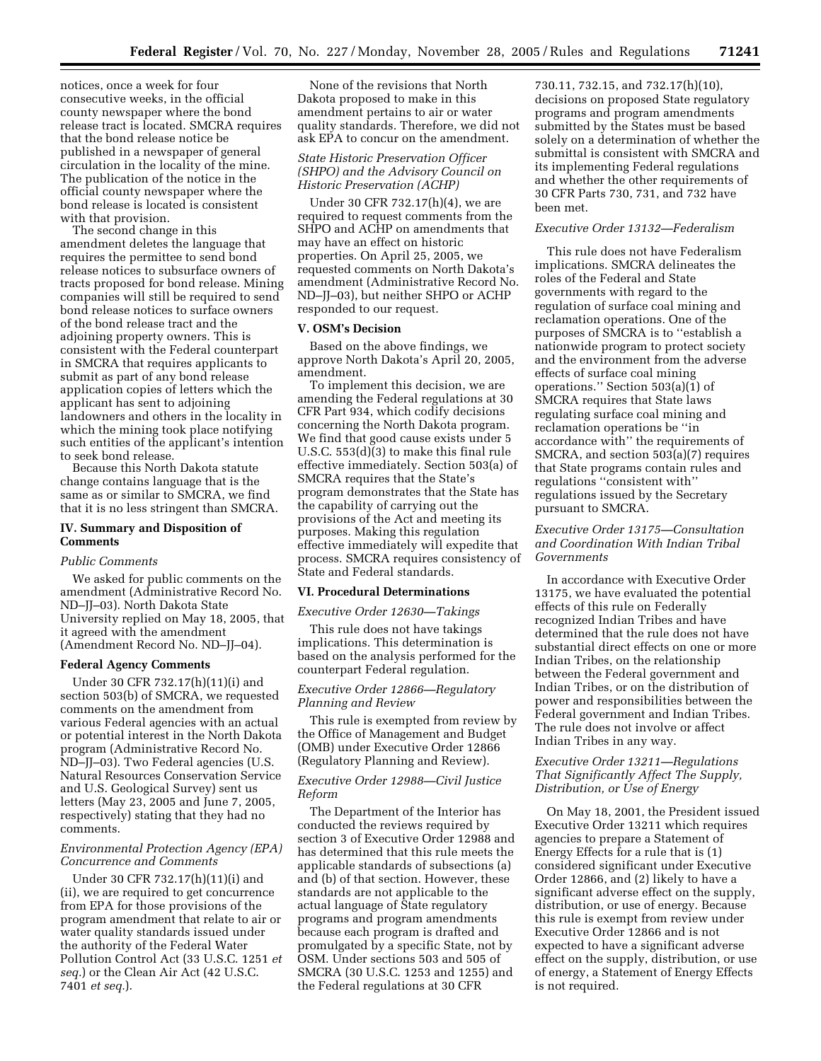notices, once a week for four consecutive weeks, in the official county newspaper where the bond release tract is located. SMCRA requires that the bond release notice be published in a newspaper of general circulation in the locality of the mine. The publication of the notice in the official county newspaper where the bond release is located is consistent with that provision.

The second change in this amendment deletes the language that requires the permittee to send bond release notices to subsurface owners of tracts proposed for bond release. Mining companies will still be required to send bond release notices to surface owners of the bond release tract and the adjoining property owners. This is consistent with the Federal counterpart in SMCRA that requires applicants to submit as part of any bond release application copies of letters which the applicant has sent to adjoining landowners and others in the locality in which the mining took place notifying such entities of the applicant's intention to seek bond release.

Because this North Dakota statute change contains language that is the same as or similar to SMCRA, we find that it is no less stringent than SMCRA.

# **IV. Summary and Disposition of Comments**

#### *Public Comments*

We asked for public comments on the amendment (Administrative Record No. ND–JJ–03). North Dakota State University replied on May 18, 2005, that it agreed with the amendment (Amendment Record No. ND–JJ–04).

# **Federal Agency Comments**

Under 30 CFR 732.17(h)(11)(i) and section 503(b) of SMCRA, we requested comments on the amendment from various Federal agencies with an actual or potential interest in the North Dakota program (Administrative Record No. ND–JJ–03). Two Federal agencies (U.S. Natural Resources Conservation Service and U.S. Geological Survey) sent us letters (May 23, 2005 and June 7, 2005, respectively) stating that they had no comments.

# *Environmental Protection Agency (EPA) Concurrence and Comments*

Under 30 CFR 732.17(h)(11)(i) and (ii), we are required to get concurrence from EPA for those provisions of the program amendment that relate to air or water quality standards issued under the authority of the Federal Water Pollution Control Act (33 U.S.C. 1251 *et seq.*) or the Clean Air Act (42 U.S.C. 7401 *et seq.*).

None of the revisions that North Dakota proposed to make in this amendment pertains to air or water quality standards. Therefore, we did not ask EPA to concur on the amendment.

### *State Historic Preservation Officer (SHPO) and the Advisory Council on Historic Preservation (ACHP)*

Under 30 CFR 732.17(h)(4), we are required to request comments from the SHPO and ACHP on amendments that may have an effect on historic properties. On April 25, 2005, we requested comments on North Dakota's amendment (Administrative Record No. ND–JJ–03), but neither SHPO or ACHP responded to our request.

#### **V. OSM's Decision**

Based on the above findings, we approve North Dakota's April 20, 2005, amendment.

To implement this decision, we are amending the Federal regulations at 30 CFR Part 934, which codify decisions concerning the North Dakota program. We find that good cause exists under 5 U.S.C. 553(d)(3) to make this final rule effective immediately. Section 503(a) of SMCRA requires that the State's program demonstrates that the State has the capability of carrying out the provisions of the Act and meeting its purposes. Making this regulation effective immediately will expedite that process. SMCRA requires consistency of State and Federal standards.

# **VI. Procedural Determinations**

#### *Executive Order 12630—Takings*

This rule does not have takings implications. This determination is based on the analysis performed for the counterpart Federal regulation.

# *Executive Order 12866—Regulatory Planning and Review*

This rule is exempted from review by the Office of Management and Budget (OMB) under Executive Order 12866 (Regulatory Planning and Review).

### *Executive Order 12988—Civil Justice Reform*

The Department of the Interior has conducted the reviews required by section 3 of Executive Order 12988 and has determined that this rule meets the applicable standards of subsections (a) and (b) of that section. However, these standards are not applicable to the actual language of State regulatory programs and program amendments because each program is drafted and promulgated by a specific State, not by OSM. Under sections 503 and 505 of SMCRA (30 U.S.C. 1253 and 1255) and the Federal regulations at 30 CFR

730.11, 732.15, and 732.17(h)(10), decisions on proposed State regulatory programs and program amendments submitted by the States must be based solely on a determination of whether the submittal is consistent with SMCRA and its implementing Federal regulations and whether the other requirements of 30 CFR Parts 730, 731, and 732 have been met.

### *Executive Order 13132—Federalism*

This rule does not have Federalism implications. SMCRA delineates the roles of the Federal and State governments with regard to the regulation of surface coal mining and reclamation operations. One of the purposes of SMCRA is to ''establish a nationwide program to protect society and the environment from the adverse effects of surface coal mining operations." Section  $503(a)(1)$  of SMCRA requires that State laws regulating surface coal mining and reclamation operations be ''in accordance with'' the requirements of SMCRA, and section 503(a)(7) requires that State programs contain rules and regulations ''consistent with'' regulations issued by the Secretary pursuant to SMCRA.

# *Executive Order 13175—Consultation and Coordination With Indian Tribal Governments*

In accordance with Executive Order 13175, we have evaluated the potential effects of this rule on Federally recognized Indian Tribes and have determined that the rule does not have substantial direct effects on one or more Indian Tribes, on the relationship between the Federal government and Indian Tribes, or on the distribution of power and responsibilities between the Federal government and Indian Tribes. The rule does not involve or affect Indian Tribes in any way.

# *Executive Order 13211—Regulations That Significantly Affect The Supply, Distribution, or Use of Energy*

On May 18, 2001, the President issued Executive Order 13211 which requires agencies to prepare a Statement of Energy Effects for a rule that is (1) considered significant under Executive Order 12866, and (2) likely to have a significant adverse effect on the supply, distribution, or use of energy. Because this rule is exempt from review under Executive Order 12866 and is not expected to have a significant adverse effect on the supply, distribution, or use of energy, a Statement of Energy Effects is not required.